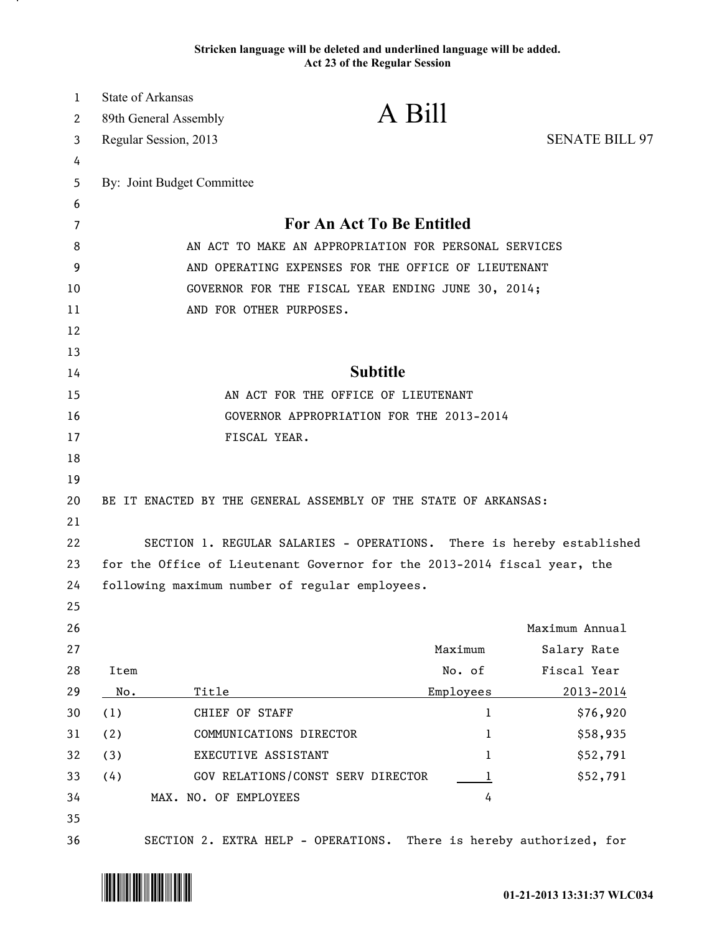## **Stricken language will be deleted and underlined language will be added. Act 23 of the Regular Session**

| 1<br>2 | <b>State of Arkansas</b><br>89th General Assembly                        | A Bill                              |             |                                 |  |
|--------|--------------------------------------------------------------------------|-------------------------------------|-------------|---------------------------------|--|
| 3      | Regular Session, 2013                                                    |                                     |             | <b>SENATE BILL 97</b>           |  |
| 4      |                                                                          |                                     |             |                                 |  |
| 5      | By: Joint Budget Committee                                               |                                     |             |                                 |  |
| 6      |                                                                          |                                     |             |                                 |  |
| 7      | <b>For An Act To Be Entitled</b>                                         |                                     |             |                                 |  |
| 8      | AN ACT TO MAKE AN APPROPRIATION FOR PERSONAL SERVICES                    |                                     |             |                                 |  |
| 9      | AND OPERATING EXPENSES FOR THE OFFICE OF LIEUTENANT                      |                                     |             |                                 |  |
| 10     | GOVERNOR FOR THE FISCAL YEAR ENDING JUNE 30, 2014;                       |                                     |             |                                 |  |
| 11     | AND FOR OTHER PURPOSES.                                                  |                                     |             |                                 |  |
| 12     |                                                                          |                                     |             |                                 |  |
| 13     |                                                                          |                                     |             |                                 |  |
| 14     | <b>Subtitle</b>                                                          |                                     |             |                                 |  |
| 15     | AN ACT FOR THE OFFICE OF LIEUTENANT                                      |                                     |             |                                 |  |
| 16     | GOVERNOR APPROPRIATION FOR THE 2013-2014                                 |                                     |             |                                 |  |
| 17     |                                                                          | FISCAL YEAR.                        |             |                                 |  |
| 18     |                                                                          |                                     |             |                                 |  |
| 19     |                                                                          |                                     |             |                                 |  |
| 20     | BE IT ENACTED BY THE GENERAL ASSEMBLY OF THE STATE OF ARKANSAS:          |                                     |             |                                 |  |
| 21     |                                                                          |                                     |             |                                 |  |
| 22     | SECTION 1. REGULAR SALARIES - OPERATIONS. There is hereby established    |                                     |             |                                 |  |
| 23     | for the Office of Lieutenant Governor for the 2013-2014 fiscal year, the |                                     |             |                                 |  |
| 24     | following maximum number of regular employees.                           |                                     |             |                                 |  |
| 25     |                                                                          |                                     |             |                                 |  |
| 26     |                                                                          |                                     |             | Maximum Annual                  |  |
| 27     |                                                                          |                                     | Maximum     | Salary Rate                     |  |
| 28     | Item                                                                     |                                     | No. of      | Fiscal Year                     |  |
| 29     | No.                                                                      | Title                               | Employees   | 2013-2014                       |  |
| 30     | (1)                                                                      | CHIEF OF STAFF                      | 1           | \$76,920                        |  |
| 31     | (2)                                                                      | COMMUNICATIONS DIRECTOR             | 1           | \$58,935                        |  |
| 32     | (3)                                                                      | EXECUTIVE ASSISTANT                 | 1           | \$52,791                        |  |
| 33     | (4)                                                                      | GOV RELATIONS/CONST SERV DIRECTOR   | $\mathbf 1$ | \$52,791                        |  |
| 34     |                                                                          | MAX. NO. OF EMPLOYEES               | 4           |                                 |  |
| 35     |                                                                          |                                     |             |                                 |  |
| 36     |                                                                          | SECTION 2. EXTRA HELP - OPERATIONS. |             | There is hereby authorized, for |  |

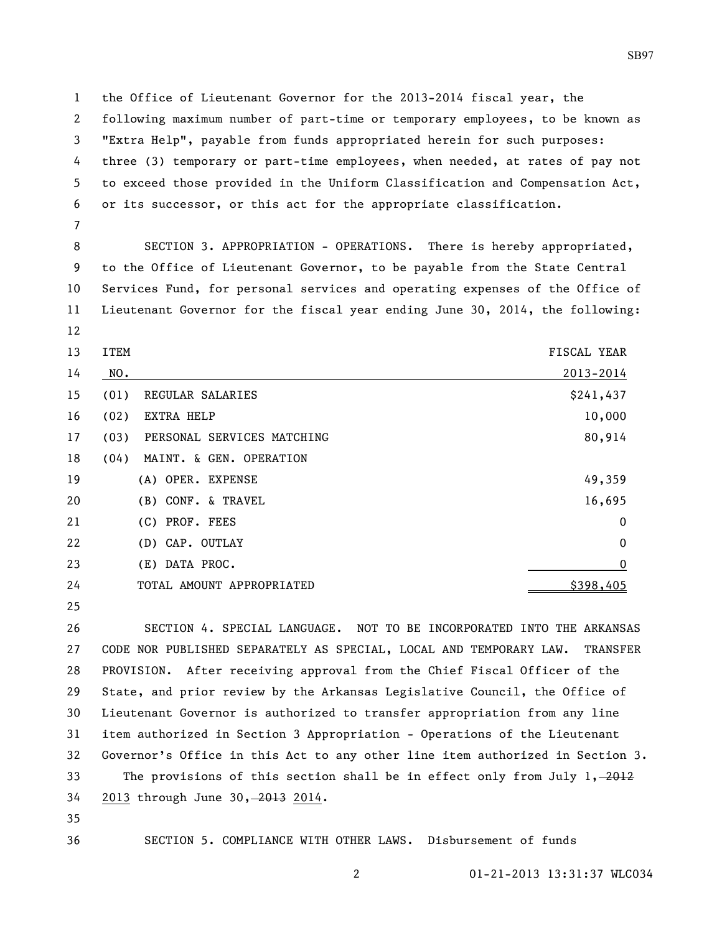the Office of Lieutenant Governor for the 2013-2014 fiscal year, the following maximum number of part-time or temporary employees, to be known as "Extra Help", payable from funds appropriated herein for such purposes: three (3) temporary or part-time employees, when needed, at rates of pay not to exceed those provided in the Uniform Classification and Compensation Act, or its successor, or this act for the appropriate classification.

 SECTION 3. APPROPRIATION - OPERATIONS. There is hereby appropriated, to the Office of Lieutenant Governor, to be payable from the State Central Services Fund, for personal services and operating expenses of the Office of Lieutenant Governor for the fiscal year ending June 30, 2014, the following:

- 
- 13 ITEM FISCAL YEAR

| 14 | NO.  |                            | 2013-2014        |
|----|------|----------------------------|------------------|
| 15 | (01) | REGULAR SALARIES           | \$241,437        |
| 16 | (02) | EXTRA HELP                 | 10,000           |
| 17 | (03) | PERSONAL SERVICES MATCHING | 80,914           |
| 18 | (04) | MAINT. & GEN. OPERATION    |                  |
| 19 |      | (A) OPER. EXPENSE          | 49,359           |
| 20 |      | (B) CONF. & TRAVEL         | 16,695           |
| 21 |      | (C) PROF. FEES             | $\overline{0}$   |
| 22 |      | (D) CAP. OUTLAY            | $\mathbf 0$      |
| 23 |      | (E) DATA PROC.             | $\boldsymbol{0}$ |
| 24 |      | TOTAL AMOUNT APPROPRIATED  | \$398,405        |

 SECTION 4. SPECIAL LANGUAGE. NOT TO BE INCORPORATED INTO THE ARKANSAS CODE NOR PUBLISHED SEPARATELY AS SPECIAL, LOCAL AND TEMPORARY LAW. TRANSFER PROVISION. After receiving approval from the Chief Fiscal Officer of the State, and prior review by the Arkansas Legislative Council, the Office of Lieutenant Governor is authorized to transfer appropriation from any line item authorized in Section 3 Appropriation - Operations of the Lieutenant Governor's Office in this Act to any other line item authorized in Section 3. 33 The provisions of this section shall be in effect only from July 1, 2012 2013 through June 30, 2013 2014.

SECTION 5. COMPLIANCE WITH OTHER LAWS. Disbursement of funds